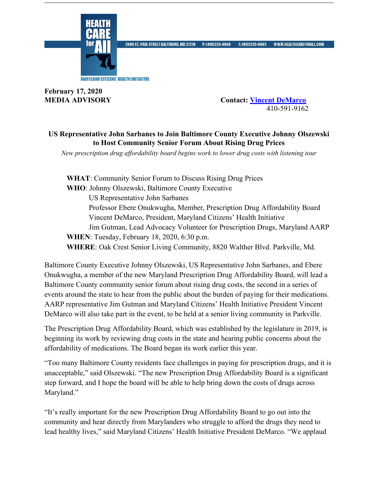

2600 ST. PAUL STREET BALTIMORE, MD 21218 P: (410)235-9000 F: (410)235-8963 WWW.HEALTHCAREFORALLCOM

**February 17, 2020**

**MEDIA ADVISORY Contact: Vincent DeMarco** 410-591-9162

## **US Representative John Sarbanes to Join Baltimore County Executive Johnny Olszewski to Host Community Senior Forum About Rising Drug Prices**

*New prescription drug affordability board begins work to lower drug costs with listening tour* 

**WHAT**: Community Senior Forum to Discuss Rising Drug Prices **WHO**: Johnny Olszewski, Baltimore County Executive US Representative John Sarbanes Professor Ebere Onukwugha, Member, Prescription Drug Affordability Board Vincent DeMarco, President, Maryland Citizens' Health Initiative Jim Gutman, Lead Advocacy Volunteer for Prescription Drugs, Maryland AARP **WHEN**: Tuesday, February 18, 2020, 6:30 p.m. **WHERE**: Oak Crest Senior Living Community, 8820 Walther Blvd. Parkville, Md.

Baltimore County Executive Johnny Olszewski, US Representative John Sarbanes, and Ebere Onukwugha, a member of the new Maryland Prescription Drug Affordability Board, will lead a Baltimore County community senior forum about rising drug costs, the second in a series of events around the state to hear from the public about the burden of paying for their medications. AARP representative Jim Gutman and Maryland Citizens' Health Initiative President Vincent DeMarco will also take part in the event, to be held at a senior living community in Parkville.

The Prescription Drug Affordability Board, which was established by the legislature in 2019, is beginning its work by reviewing drug costs in the state and hearing public concerns about the affordability of medications. The Board began its work earlier this year.

"Too many Baltimore County residents face challenges in paying for prescription drugs, and it is unacceptable," said Olszewski. "The new Prescription Drug Affordability Board is a significant step forward, and I hope the board will be able to help bring down the costs of drugs across Maryland."

"It's really important for the new Prescription Drug Affordability Board to go out into the community and hear directly from Marylanders who struggle to afford the drugs they need to lead healthy lives," said Maryland Citizens' Health Initiative President DeMarco. "We applaud